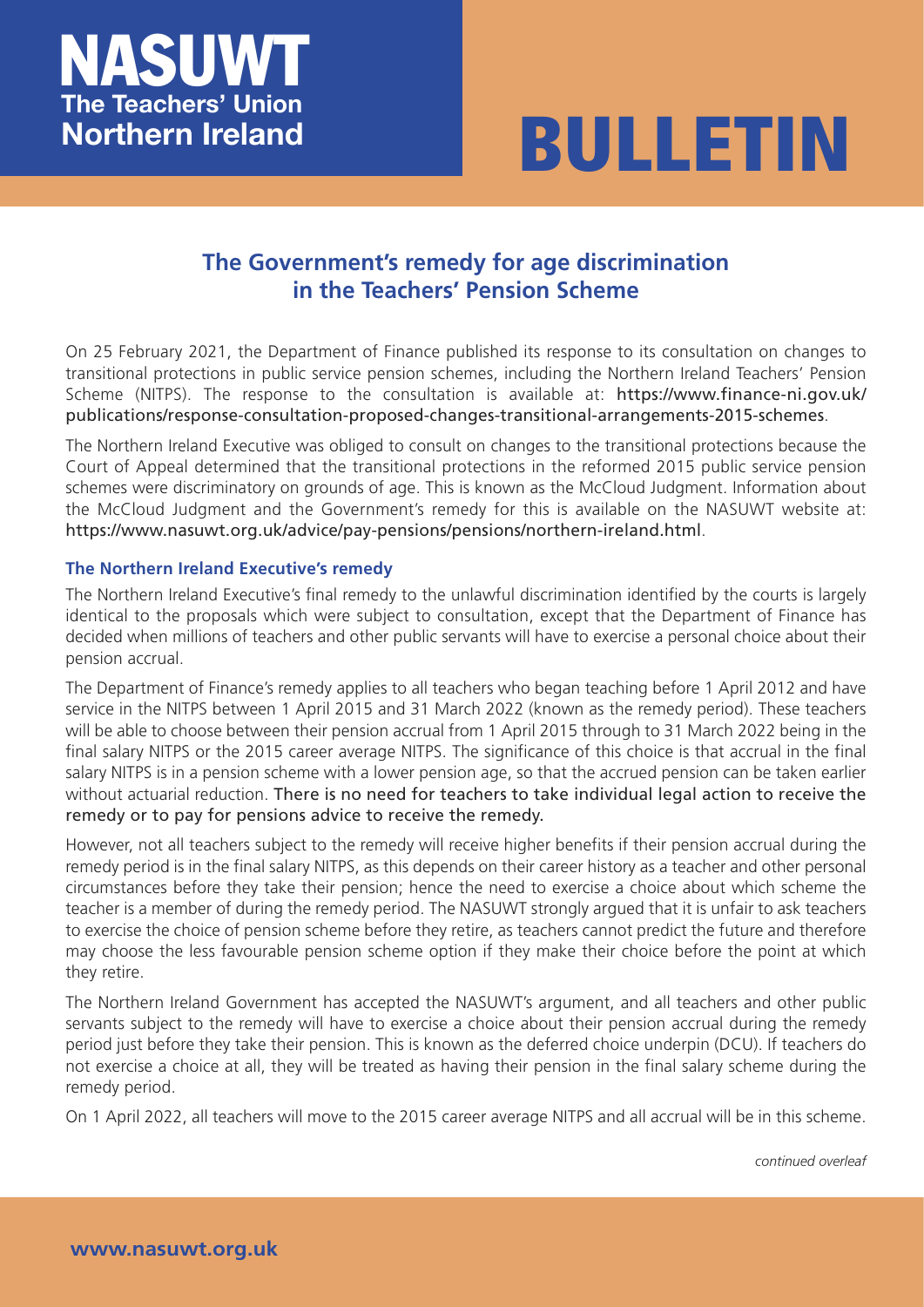



## **The Government's remedy for age discrimination in the Teachers' Pension Scheme**

On 25 February 2021, the Department of Finance published its response to its consultation on changes to transitional protections in public service pension schemes, including the Northern Ireland Teachers' Pension Scheme (NITPS). The response to the consultation is available at: https://www.finance-ni.gov.uk/ publications/response-consultation-proposed-changes-transitional-arrangements-2015-schemes.

The Northern Ireland Executive was obliged to consult on changes to the transitional protections because the Court of Appeal determined that the transitional protections in the refo[rmed 2015 public service pension](https://www.finance-ni.gov.uk/publications/response-consultation-proposed-changes-transitional-arrangements-2015-schemes) [schemes were discriminatory on grounds of age. This is known as the McCloud Judgment. Information a](https://www.finance-ni.gov.uk/publications/response-consultation-proposed-changes-transitional-arrangements-2015-schemes)bout the McCloud Judgment and the Government's remedy for this is available on the NASUWT website at: https://www.nasuwt.org.uk/advice/pay-pensions/pensions/northern-ireland.html.

## **The Northern Ireland Executive's remedy**

The Northern Ireland Executive's final remedy to the unlawful discrimination identified by the courts is largely [identical to the proposals which were subject to consultation, except that the Depar](https://www.nasuwt.org.uk/advice/pay-pensions/pensions/northern-ireland.html)tment of Finance has decided when millions of teachers and other public servants will have to exercise a personal choice about their pension accrual.

The Department of Finance's remedy applies to all teachers who began teaching before 1 April 2012 and have service in the NITPS between 1 April 2015 and 31 March 2022 (known as the remedy period). These teachers will be able to choose between their pension accrual from 1 April 2015 through to 31 March 2022 being in the final salary NITPS or the 2015 career average NITPS. The significance of this choice is that accrual in the final salary NITPS is in a pension scheme with a lower pension age, so that the accrued pension can be taken earlier without actuarial reduction. There is no need for teachers to take individual legal action to receive the remedy or to pay for pensions advice to receive the remedy.

However, not all teachers subject to the remedy will receive higher benefits if their pension accrual during the remedy period is in the final salary NITPS, as this depends on their career history as a teacher and other personal circumstances before they take their pension; hence the need to exercise a choice about which scheme the teacher is a member of during the remedy period. The NASUWT strongly argued that it is unfair to ask teachers to exercise the choice of pension scheme before they retire, as teachers cannot predict the future and therefore may choose the less favourable pension scheme option if they make their choice before the point at which they retire.

The Northern Ireland Government has accepted the NASUWT's argument, and all teachers and other public servants subject to the remedy will have to exercise a choice about their pension accrual during the remedy period just before they take their pension. This is known as the deferred choice underpin (DCU). If teachers do not exercise a choice at all, they will be treated as having their pension in the final salary scheme during the remedy period.

On 1 April 2022, all teachers will move to the 2015 career average NITPS and all accrual will be in this scheme.

*continued overleaf*